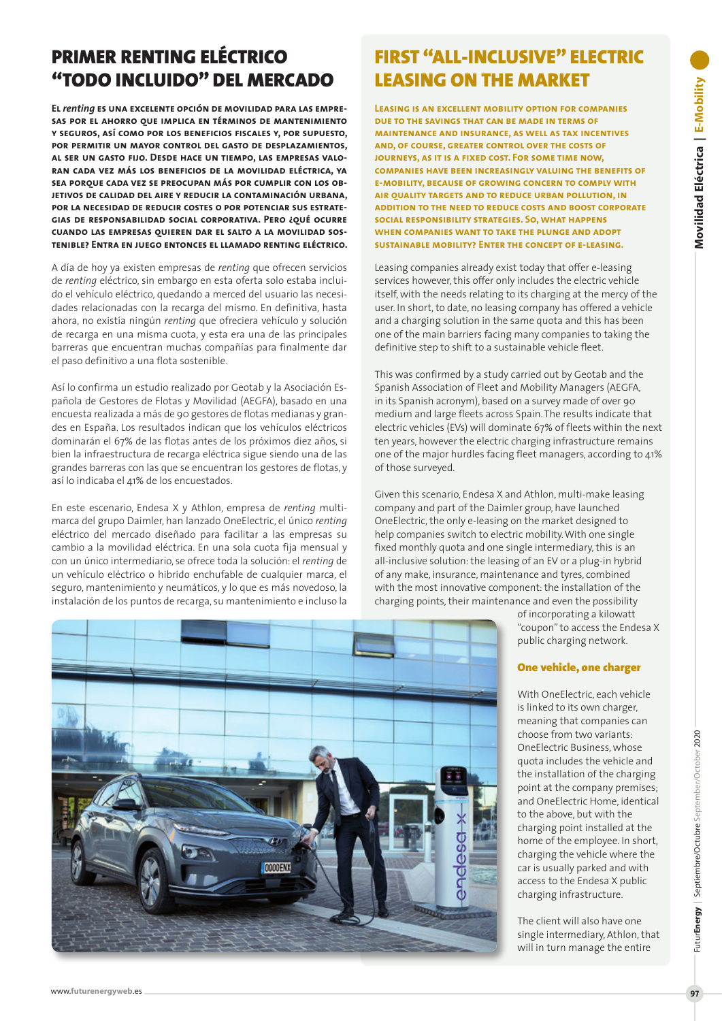# PRIMER RENTING ELÉCTRICO "TODO INCLUIDO" DEL MERCADO

**El** *renting* **es una excelente opción de movilidad para las empresas por el ahorro que implica en términos de mantenimiento y seguros, así como por los beneficios fiscales y, por supuesto, por permitir un mayor control del gasto de desplazamientos, al ser un gasto fijo. Desde hace un tiempo, las empresas valoran cada vez más los beneficios de la movilidad eléctrica, ya sea porque cada vez se preocupan más por cumplir con los objetivos de calidad del aire y reducir la contaminación urbana, por la necesidad de reducir costes o por potenciar sus estrategias de responsabilidad social corporativa. Pero ¿qué ocurre cuando las empresas quieren dar el salto a la movilidad sostenible? Entra en juego entonces el llamado renting eléctrico.**

A día de hoy ya existen empresas de *renting* que ofrecen servicios de *renting* eléctrico, sin embargo en esta oferta solo estaba incluido el vehículo eléctrico, quedando a merced del usuario las necesidades relacionadas con la recarga del mismo. En definitiva, hasta ahora, no existía ningún *renting* que ofreciera vehículo y solución de recarga en una misma cuota, y esta era una de las principales barreras que encuentran muchas compañías para finalmente dar el paso definitivo a una flota sostenible.

Así lo confirma un estudio realizado por Geotab y la Asociación Española de Gestores de Flotas y Movilidad (AEGFA), basado en una encuesta realizada a más de 90 gestores de flotas medianas y grandes en España. Los resultados indican que los vehículos eléctricos dominarán el 67% de las flotas antes de los próximos diez años, si bien la infraestructura de recarga eléctrica sigue siendo una de las grandes barreras con las que se encuentran los gestores de flotas, y así lo indicaba el 41% de los encuestados.

En este escenario, Endesa X y Athlon, empresa de *renting* multimarca del grupo Daimler, han lanzado OneElectric, el único *renting* eléctrico del mercado diseñado para facilitar a las empresas su cambio a la movilidad eléctrica. En una sola cuota fija mensual y con un único intermediario, se ofrece toda la solución: el *renting* de un vehículo eléctrico o hibrido enchufable de cualquier marca, el seguro, mantenimiento y neumáticos, y lo que es más novedoso, la instalación de los puntos de recarga, su mantenimiento e incluso la

# FIRST "ALL-INCLUSIVE" ELECTRIC LEASING ON THE MARKET

**Leasing is an excellent mobility option for companies due to the savings that can be made in terms of maintenance and insurance, as well as tax incentives and, of course, greater control over the costs of journeys, as it is a fixed cost. For some time now, companies have been increasingly valuing the benefits of e-mobility, because of growing concern to comply with air quality targets and to reduce urban pollution, in addition to the need to reduce costs and boost corporate social responsibility strategies. So, what happens when companies want to take the plunge and adopt sustainable mobility? Enter the concept of e-leasing.**

Leasing companies already exist today that offer e-leasing services however, this offer only includes the electric vehicle itself, with the needs relating to its charging at the mercy of the user. In short, to date, no leasing company has offered a vehicle and a charging solution in the same quota and this has been one of the main barriers facing many companies to taking the definitive step to shift to a sustainable vehicle fleet.

This was confirmed by a study carried out by Geotab and the Spanish Association of Fleet and Mobility Managers (AEGFA, in its Spanish acronym), based on a survey made of over 90 medium and large fleets across Spain. The results indicate that electric vehicles (EVs) will dominate 67% of fleets within the next ten years, however the electric charging infrastructure remains one of the major hurdles facing fleet managers, according to 41% of those surveyed.

Given this scenario, Endesa X and Athlon, multi-make leasing company and part of the Daimler group, have launched OneElectric, the only e-leasing on the market designed to help companies switch to electric mobility. With one single fixed monthly quota and one single intermediary, this is an all-inclusive solution: the leasing of an EV or a plug-in hybrid of any make, insurance, maintenance and tyres, combined with the most innovative component: the installation of the charging points, their maintenance and even the possibility

of incorporating a kilowatt "coupon" to access the Endesa X public charging network.

# One vehicle, one charger

With OneElectric, each vehicle is linked to its own charger, meaning that companies can choose from two variants: OneElectric Business, whose quota includes the vehicle and the installation of the charging point at the company premises; and OneElectric Home, identical to the above, but with the charging point installed at the home of the employee. In short, charging the vehicle where the car is usually parked and with access to the Endesa X public charging infrastructure.

The client will also have one single intermediary, Athlon, that will in turn manage the entire



Futur**Energy** | Septiembre/Octubre September/October 2020

FuturEnergy | Septiembre/Octubre September/October 2020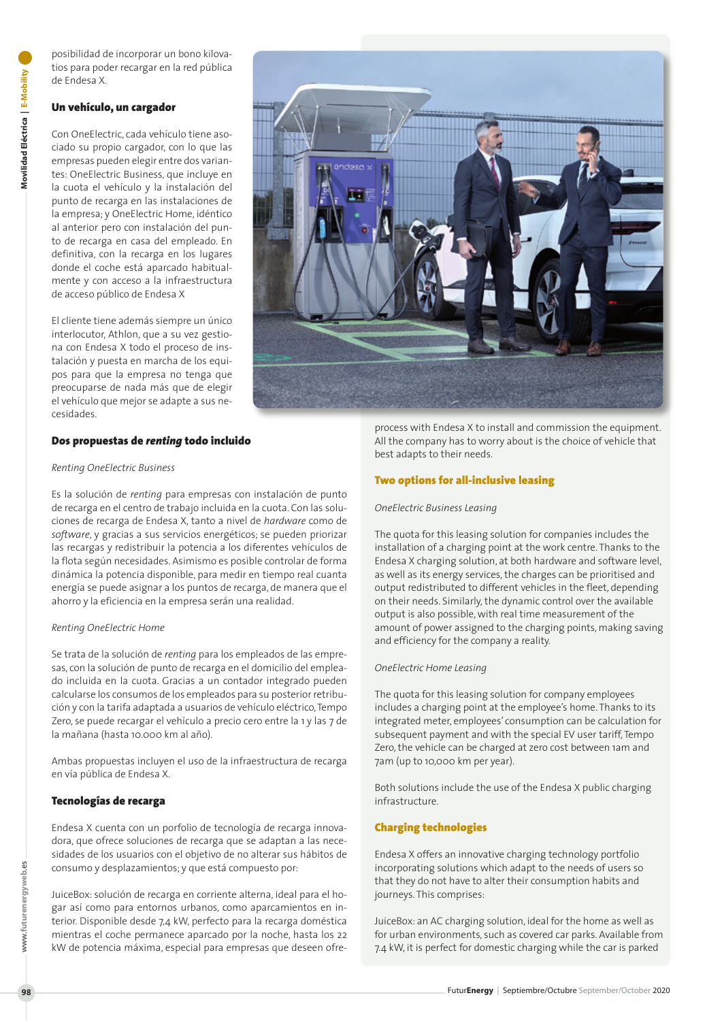posibilidad de incorporar un bono kilovatios para poder recargar en la red pública de Endesa X.

# Un vehículo, un cargador

Con OneElectric, cada vehículo tiene asociado su propio cargador, con lo que las empresas pueden elegir entre dos variantes: OneElectric Business, que incluye en la cuota el vehículo y la instalación del punto de recarga en las instalaciones de la empresa; y OneElectric Home, idéntico al anterior pero con instalación del punto de recarga en casa del empleado. En definitiva, con la recarga en los lugares donde el coche está aparcado habitualmente y con acceso a la infraestructura de acceso público de Endesa X

El cliente tiene además siempre un único interlocutor, Athlon, que a su vez gestiona con Endesa X todo el proceso de instalación y puesta en marcha de los equipos para que la empresa no tenga que preocuparse de nada más que de elegir el vehículo que mejor se adapte a sus necesidades.

# Dos propuestas de *renting* todo incluido

#### *Renting OneElectric Business*

Es la solución de *renting* para empresas con instalación de punto de recarga en el centro de trabajo incluida en la cuota. Con las soluciones de recarga de Endesa X, tanto a nivel de *hardware* como de *software*, y gracias a sus servicios energéticos; se pueden priorizar las recargas y redistribuir la potencia a los diferentes vehículos de la flota según necesidades. Asimismo es posible controlar de forma dinámica la potencia disponible, para medir en tiempo real cuanta energía se puede asignar a los puntos de recarga, de manera que el ahorro y la eficiencia en la empresa serán una realidad.

#### *Renting OneElectric Home*

Se trata de la solución de *renting* para los empleados de las empresas, con la solución de punto de recarga en el domicilio del empleado incluida en la cuota. Gracias a un contador integrado pueden calcularse los consumos de los empleados para su posterior retribución y con la tarifa adaptada a usuarios de vehículo eléctrico, Tempo Zero, se puede recargar el vehículo a precio cero entre la 1 y las 7 de la mañana (hasta 10.000 km al año).

Ambas propuestas incluyen el uso de la infraestructura de recarga en vía pública de Endesa X.

# Tecnologías de recarga

Endesa X cuenta con un porfolio de tecnología de recarga innovadora, que ofrece soluciones de recarga que se adaptan a las necesidades de los usuarios con el objetivo de no alterar sus hábitos de consumo y desplazamientos; y que está compuesto por:

JuiceBox: solución de recarga en corriente alterna, ideal para el hogar así como para entornos urbanos, como aparcamientos en interior. Disponible desde 7,4 kW, perfecto para la recarga doméstica mientras el coche permanece aparcado por la noche, hasta los 22 kW de potencia máxima, especial para empresas que deseen ofre-



process with Endesa X to install and commission the equipment. All the company has to worry about is the choice of vehicle that best adapts to their needs.

### Two options for all-inclusive leasing

#### *OneElectric Business Leasing*

The quota for this leasing solution for companies includes the installation of a charging point at the work centre. Thanks to the Endesa X charging solution, at both hardware and software level, as well as its energy services, the charges can be prioritised and output redistributed to different vehicles in the fleet, depending on their needs. Similarly, the dynamic control over the available output is also possible, with real time measurement of the amount of power assigned to the charging points, making saving and efficiency for the company a reality.

#### *OneElectric Home Leasing*

The quota for this leasing solution for company employees includes a charging point at the employee's home. Thanks to its integrated meter, employees' consumption can be calculation for subsequent payment and with the special EV user tariff, Tempo Zero, the vehicle can be charged at zero cost between 1am and 7am (up to 10,000 km per year).

Both solutions include the use of the Endesa X public charging infrastructure.

### Charging technologies

Endesa X offers an innovative charging technology portfolio incorporating solutions which adapt to the needs of users so that they do not have to alter their consumption habits and journeys. This comprises:

JuiceBox: an AC charging solution, ideal for the home as well as for urban environments, such as covered car parks. Available from 7.4 kW, it is perfect for domestic charging while the car is parked